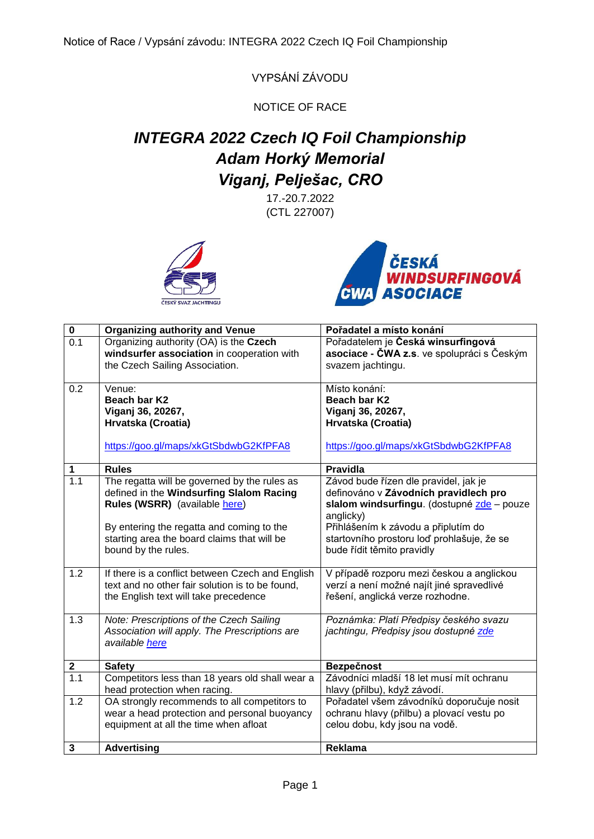VYPSÁNÍ ZÁVODU

NOTICE OF RACE

## *INTEGRA 2022 Czech IQ Foil Championship Adam Horký Memorial Viganj, Pelješac, CRO*

17.-20.7.2022 (CTL 227007)





| $\pmb{0}$        | <b>Organizing authority and Venue</b>            | Pořadatel a místo konání                   |
|------------------|--------------------------------------------------|--------------------------------------------|
| 0.1              | Organizing authority (OA) is the Czech           | Pořadatelem je Česká winsurfingová         |
|                  | windsurfer association in cooperation with       | asociace - ČWA z.s. ve spolupráci s Českým |
|                  | the Czech Sailing Association.                   | svazem jachtingu.                          |
| 0.2              | Venue:                                           | Místo konání:                              |
|                  | Beach bar K2                                     | Beach bar K2                               |
|                  | Viganj 36, 20267,                                | Viganj 36, 20267,                          |
|                  | Hrvatska (Croatia)                               | Hrvatska (Croatia)                         |
|                  | https://goo.gl/maps/xkGtSbdwbG2KfPFA8            | https://goo.gl/maps/xkGtSbdwbG2KfPFA8      |
| 1                | <b>Rules</b>                                     | <b>Pravidla</b>                            |
| $\overline{1.1}$ | The regatta will be governed by the rules as     | Závod bude řízen dle pravidel, jak je      |
|                  | defined in the Windsurfing Slalom Racing         | definováno v Závodních pravidlech pro      |
|                  | Rules (WSRR) (available here)                    | slalom windsurfingu. (dostupné zde - pouze |
|                  |                                                  | anglicky)                                  |
|                  | By entering the regatta and coming to the        | Přihlášením k závodu a připlutím do        |
|                  | starting area the board claims that will be      | startovního prostoru loď prohlašuje, že se |
|                  | bound by the rules.                              | bude řídit těmito pravidly                 |
| 1.2              | If there is a conflict between Czech and English | V případě rozporu mezi českou a anglickou  |
|                  | text and no other fair solution is to be found,  | verzí a není možné najít jiné spravedlivé  |
|                  | the English text will take precedence            | řešení, anglická verze rozhodne.           |
|                  |                                                  |                                            |
| 1.3              | Note: Prescriptions of the Czech Sailing         | Poznámka: Platí Předpisy českého svazu     |
|                  | Association will apply. The Prescriptions are    | jachtingu, Předpisy jsou dostupné zde      |
|                  | available here                                   |                                            |
| $\boldsymbol{2}$ | <b>Safety</b>                                    | Bezpečnost                                 |
| 1.1              | Competitors less than 18 years old shall wear a  | Závodníci mladší 18 let musí mít ochranu   |
|                  | head protection when racing.                     | hlavy (přilbu), když závodí.               |
| 1.2              | OA strongly recommends to all competitors to     | Pořadatel všem závodníků doporučuje nosit  |
|                  | wear a head protection and personal buoyancy     | ochranu hlavy (přilbu) a plovací vestu po  |
|                  | equipment at all the time when afloat            | celou dobu, kdy jsou na vodě.              |
| 3                | <b>Advertising</b>                               | Reklama                                    |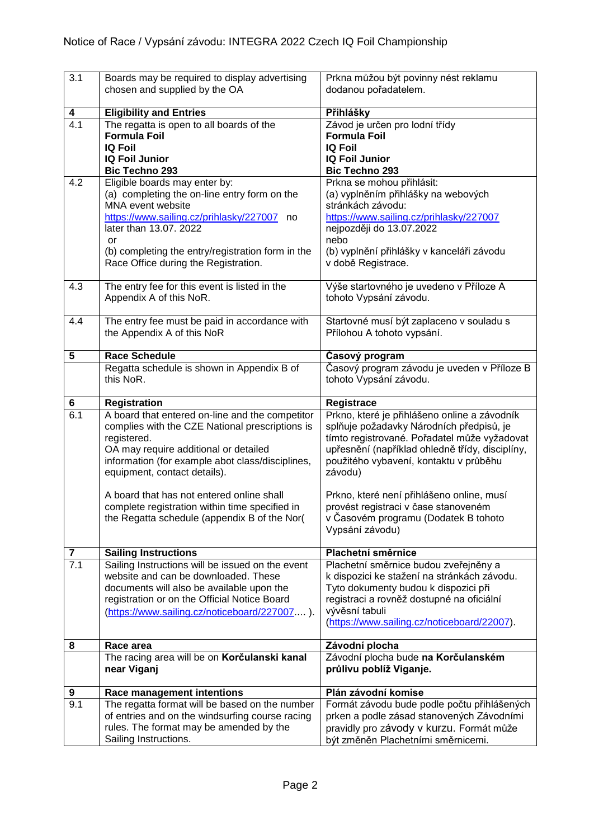| 3.1                            | Boards may be required to display advertising                                                      | Prkna můžou být povinny nést reklamu                                                     |  |
|--------------------------------|----------------------------------------------------------------------------------------------------|------------------------------------------------------------------------------------------|--|
|                                | chosen and supplied by the OA                                                                      | dodanou pořadatelem.                                                                     |  |
| 4                              | <b>Eligibility and Entries</b>                                                                     | Přihlášky                                                                                |  |
| 4.1                            | The regatta is open to all boards of the                                                           | Závod je určen pro lodní třídy                                                           |  |
|                                | <b>Formula Foil</b>                                                                                | <b>Formula Foil</b>                                                                      |  |
|                                | <b>IQ Foil</b>                                                                                     | <b>IQ Foil</b>                                                                           |  |
|                                | <b>IQ Foil Junior</b><br><b>Bic Techno 293</b>                                                     | <b>IQ Foil Junior</b><br><b>Bic Techno 293</b>                                           |  |
| 4.2                            | Eligible boards may enter by:                                                                      | Prkna se mohou přihlásit:                                                                |  |
|                                | (a) completing the on-line entry form on the                                                       | (a) vyplněním přihlášky na webových                                                      |  |
|                                | MNA event website                                                                                  | stránkách závodu:                                                                        |  |
|                                | https://www.sailing.cz/prihlasky/227007 no                                                         | https://www.sailing.cz/prihlasky/227007                                                  |  |
|                                | later than 13.07. 2022                                                                             | nejpozději do 13.07.2022                                                                 |  |
|                                | or                                                                                                 | nebo                                                                                     |  |
|                                | (b) completing the entry/registration form in the<br>Race Office during the Registration.          | (b) vyplnění přihlášky v kanceláři závodu<br>v době Registrace.                          |  |
|                                |                                                                                                    |                                                                                          |  |
| 4.3                            | The entry fee for this event is listed in the                                                      | Výše startovného je uvedeno v Příloze A                                                  |  |
|                                | Appendix A of this NoR.                                                                            | tohoto Vypsání závodu.                                                                   |  |
|                                |                                                                                                    |                                                                                          |  |
| 4.4                            | The entry fee must be paid in accordance with                                                      | Startovné musí být zaplaceno v souladu s                                                 |  |
|                                | the Appendix A of this NoR                                                                         | Přílohou A tohoto vypsání.                                                               |  |
| 5                              | <b>Race Schedule</b>                                                                               | Časový program                                                                           |  |
|                                | Regatta schedule is shown in Appendix B of                                                         | Časový program závodu je uveden v Příloze B                                              |  |
|                                | this NoR.                                                                                          | tohoto Vypsání závodu.                                                                   |  |
|                                |                                                                                                    |                                                                                          |  |
| 6                              | <b>Registration</b>                                                                                | Registrace                                                                               |  |
| 6.1                            | A board that entered on-line and the competitor<br>complies with the CZE National prescriptions is | Prkno, které je přihlášeno online a závodník<br>splňuje požadavky Národních předpisů, je |  |
|                                | registered.                                                                                        | tímto registrované. Pořadatel může vyžadovat                                             |  |
|                                | OA may require additional or detailed                                                              | upřesnění (například ohledně třídy, disciplíny,                                          |  |
|                                | information (for example abot class/disciplines,                                                   | použitého vybavení, kontaktu v průběhu                                                   |  |
|                                | equipment, contact details).                                                                       | závodu)                                                                                  |  |
|                                | A board that has not entered online shall                                                          | Prkno, které není přihlášeno online, musí                                                |  |
|                                | complete registration within time specified in                                                     | provést registraci v čase stanoveném                                                     |  |
|                                | the Regatta schedule (appendix B of the Nor(                                                       | v Časovém programu (Dodatek B tohoto                                                     |  |
|                                |                                                                                                    | Vypsání závodu)                                                                          |  |
|                                |                                                                                                    |                                                                                          |  |
| $\overline{\mathbf{7}}$<br>7.1 | <b>Sailing Instructions</b><br>Sailing Instructions will be issued on the event                    | Plachetní směrnice<br>Plachetní směrnice budou zveřejněny a                              |  |
|                                | website and can be downloaded. These                                                               | k dispozici ke stažení na stránkách závodu.                                              |  |
|                                | documents will also be available upon the                                                          | Tyto dokumenty budou k dispozici při                                                     |  |
|                                | registration or on the Official Notice Board                                                       | registraci a rovněž dostupné na oficiální                                                |  |
|                                | (https://www.sailing.cz/noticeboard/227007).                                                       | vývěsní tabuli                                                                           |  |
|                                |                                                                                                    | (https://www.sailing.cz/noticeboard/22007).                                              |  |
| 8                              | Race area                                                                                          | Závodní plocha                                                                           |  |
|                                | The racing area will be on Korčulanski kanal                                                       | Závodní plocha bude na Korčulanském                                                      |  |
|                                | near Viganj                                                                                        | průlivu poblíž Viganje.                                                                  |  |
|                                |                                                                                                    |                                                                                          |  |
| 9                              | Race management intentions                                                                         | Plán závodní komise                                                                      |  |
| 9.1                            | The regatta format will be based on the number<br>of entries and on the windsurfing course racing  | Formát závodu bude podle počtu přihlášených<br>prken a podle zásad stanovených Závodními |  |
|                                | rules. The format may be amended by the                                                            | pravidly pro závody v kurzu. Formát může                                                 |  |
|                                | Sailing Instructions.                                                                              | být změněn Plachetními směrnicemi.                                                       |  |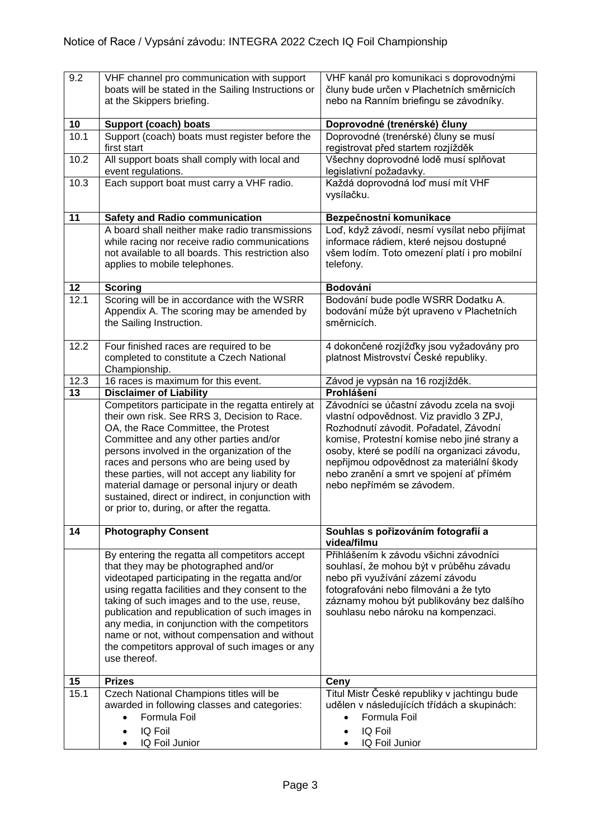| 9.2  | VHF channel pro communication with support<br>boats will be stated in the Sailing Instructions or<br>at the Skippers briefing.                                                                                                                                                                                                                                                                                                                                                       | VHF kanál pro komunikaci s doprovodnými<br>čluny bude určen v Plachetních směrnicích<br>nebo na Ranním briefingu se závodníky.                                                                                                                                                                                                                        |  |
|------|--------------------------------------------------------------------------------------------------------------------------------------------------------------------------------------------------------------------------------------------------------------------------------------------------------------------------------------------------------------------------------------------------------------------------------------------------------------------------------------|-------------------------------------------------------------------------------------------------------------------------------------------------------------------------------------------------------------------------------------------------------------------------------------------------------------------------------------------------------|--|
| 10   | <b>Support (coach) boats</b>                                                                                                                                                                                                                                                                                                                                                                                                                                                         | Doprovodné (trenérské) čluny                                                                                                                                                                                                                                                                                                                          |  |
| 10.1 | Support (coach) boats must register before the<br>first start                                                                                                                                                                                                                                                                                                                                                                                                                        | Doprovodné (trenérské) čluny se musí<br>registrovat před startem rozjížděk                                                                                                                                                                                                                                                                            |  |
| 10.2 | All support boats shall comply with local and<br>event regulations.                                                                                                                                                                                                                                                                                                                                                                                                                  | Všechny doprovodné lodě musí splňovat<br>legislativní požadavky.                                                                                                                                                                                                                                                                                      |  |
| 10.3 | Each support boat must carry a VHF radio.                                                                                                                                                                                                                                                                                                                                                                                                                                            | Každá doprovodná loď musí mít VHF<br>vysílačku.                                                                                                                                                                                                                                                                                                       |  |
| 11   | <b>Safety and Radio communication</b>                                                                                                                                                                                                                                                                                                                                                                                                                                                | Bezpečnostní komunikace                                                                                                                                                                                                                                                                                                                               |  |
|      | A board shall neither make radio transmissions<br>while racing nor receive radio communications<br>not available to all boards. This restriction also<br>applies to mobile telephones.                                                                                                                                                                                                                                                                                               | Loď, když závodí, nesmí vysílat nebo přijímat<br>informace rádiem, které nejsou dostupné<br>všem lodím. Toto omezení platí i pro mobilní<br>telefony.                                                                                                                                                                                                 |  |
| 12   | <b>Scoring</b>                                                                                                                                                                                                                                                                                                                                                                                                                                                                       | Bodování                                                                                                                                                                                                                                                                                                                                              |  |
| 12.1 | Scoring will be in accordance with the WSRR<br>Appendix A. The scoring may be amended by<br>the Sailing Instruction.                                                                                                                                                                                                                                                                                                                                                                 | Bodování bude podle WSRR Dodatku A.<br>bodování může být upraveno v Plachetních<br>směrnicích.                                                                                                                                                                                                                                                        |  |
| 12.2 | Four finished races are required to be<br>completed to constitute a Czech National<br>Championship.                                                                                                                                                                                                                                                                                                                                                                                  | 4 dokončené rozjížďky jsou vyžadovány pro<br>platnost Mistrovství České republiky.                                                                                                                                                                                                                                                                    |  |
| 12.3 | 16 races is maximum for this event.                                                                                                                                                                                                                                                                                                                                                                                                                                                  | Závod je vypsán na 16 rozjížděk.                                                                                                                                                                                                                                                                                                                      |  |
| 13   | <b>Disclaimer of Liability</b>                                                                                                                                                                                                                                                                                                                                                                                                                                                       | Prohlášení                                                                                                                                                                                                                                                                                                                                            |  |
|      | Competitors participate in the regatta entirely at<br>their own risk. See RRS 3, Decision to Race.<br>OA, the Race Committee, the Protest<br>Committee and any other parties and/or<br>persons involved in the organization of the<br>races and persons who are being used by<br>these parties, will not accept any liability for<br>material damage or personal injury or death<br>sustained, direct or indirect, in conjunction with<br>or prior to, during, or after the regatta. | Závodníci se účastní závodu zcela na svoji<br>vlastní odpovědnost. Viz pravidlo 3 ZPJ,<br>Rozhodnutí závodit. Pořadatel, Závodní<br>komise, Protestní komise nebo jiné strany a<br>osoby, které se podílí na organizaci závodu,<br>nepřijmou odpovědnost za materiální škody<br>nebo zranění a smrt ve spojení ať přímém<br>nebo nepřímém se závodem. |  |
| 14   | <b>Photography Consent</b>                                                                                                                                                                                                                                                                                                                                                                                                                                                           | Souhlas s pořizováním fotografií a<br>videa/filmu                                                                                                                                                                                                                                                                                                     |  |
|      | By entering the regatta all competitors accept<br>that they may be photographed and/or<br>videotaped participating in the regatta and/or<br>using regatta facilities and they consent to the<br>taking of such images and to the use, reuse,<br>publication and republication of such images in<br>any media, in conjunction with the competitors<br>name or not, without compensation and without<br>the competitors approval of such images or any<br>use thereof.                 | Přihlášením k závodu všichni závodníci<br>souhlasí, že mohou být v průběhu závadu<br>nebo při využívání zázemí závodu<br>fotografováni nebo filmováni a že tyto<br>záznamy mohou být publikovány bez dalšího<br>souhlasu nebo nároku na kompenzaci.                                                                                                   |  |
| 15   | <b>Prizes</b>                                                                                                                                                                                                                                                                                                                                                                                                                                                                        | Ceny                                                                                                                                                                                                                                                                                                                                                  |  |
| 15.1 | Czech National Champions titles will be<br>awarded in following classes and categories:<br>Formula Foil<br>IQ Foil<br>IQ Foil Junior                                                                                                                                                                                                                                                                                                                                                 | Titul Mistr České republiky v jachtingu bude<br>udělen v následujících třídách a skupinách:<br>Formula Foil<br>$\bullet$<br>IQ Foil<br>IQ Foil Junior                                                                                                                                                                                                 |  |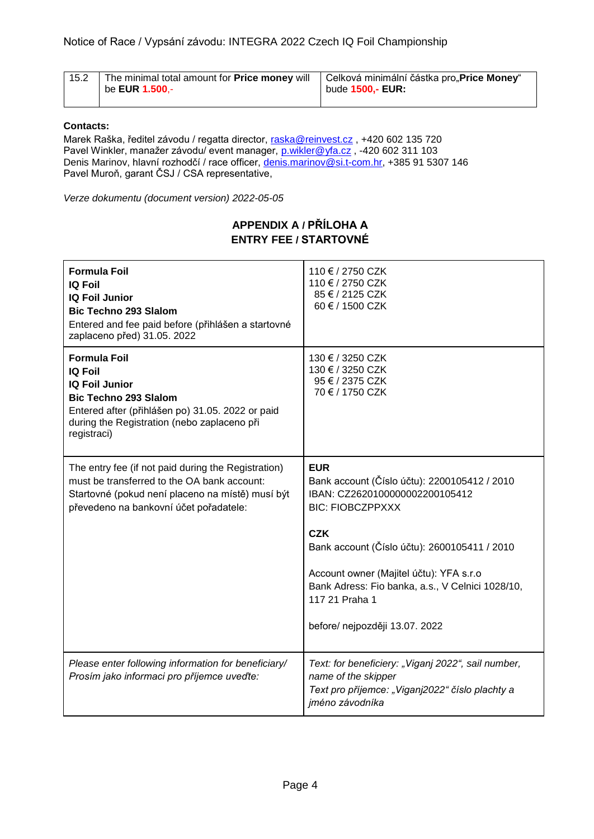| 15.2 | The minimal total amount for <b>Price money</b> will<br>be <b>EUR 1.500</b> ,- | Celková minimální částka pro"Price Money"<br>bude 1500,- EUR: |
|------|--------------------------------------------------------------------------------|---------------------------------------------------------------|
|      |                                                                                |                                                               |

## **Contacts:**

Marek Raška, ředitel závodu / regatta director, [raska@reinvest.cz](mailto:raska@reinvest.cz) , +420 602 135 720 Pavel Winkler, manažer závodu/ event manager, [p.wikler@yfa.cz](mailto:p.wikler@yfa.cz) , -420 602 311 103 Denis Marinov, hlavní rozhodčí / race officer, [denis.marinov@si.t-com.hr,](mailto:denis.marinov@si.t-com.hr) +385 91 5307 146 Pavel Muroň, garant ČSJ / CSA representative,

*Verze dokumentu (document version) 2022-05-05*

## **APPENDIX A / PŘÍLOHA A ENTRY FEE / STARTOVNÉ**

| <b>Formula Foil</b><br><b>IQ Foil</b><br><b>IQ Foil Junior</b><br><b>Bic Techno 293 Slalom</b><br>Entered and fee paid before (přihlášen a startovné<br>zaplaceno před) 31.05. 2022                              | 110 € / 2750 CZK<br>110 € / 2750 CZK<br>85 € / 2125 CZK<br>60 € / 1500 CZK                                                                                                                                                                                                                                                               |
|------------------------------------------------------------------------------------------------------------------------------------------------------------------------------------------------------------------|------------------------------------------------------------------------------------------------------------------------------------------------------------------------------------------------------------------------------------------------------------------------------------------------------------------------------------------|
| <b>Formula Foil</b><br><b>IQ Foil</b><br><b>IQ Foil Junior</b><br><b>Bic Techno 293 Slalom</b><br>Entered after (přihlášen po) 31.05. 2022 or paid<br>during the Registration (nebo zaplaceno při<br>registraci) | 130 € / 3250 CZK<br>130 € / 3250 CZK<br>95 € / 2375 CZK<br>70 € / 1750 CZK                                                                                                                                                                                                                                                               |
| The entry fee (if not paid during the Registration)<br>must be transferred to the OA bank account:<br>Startovné (pokud není placeno na místě) musí být<br>převedeno na bankovní účet pořadatele:                 | <b>EUR</b><br>Bank account (Číslo účtu): 2200105412 / 2010<br>IBAN: CZ2620100000002200105412<br><b>BIC: FIOBCZPPXXX</b><br><b>CZK</b><br>Bank account (Číslo účtu): 2600105411 / 2010<br>Account owner (Majitel účtu): YFA s.r.o<br>Bank Adress: Fio banka, a.s., V Celnici 1028/10,<br>117 21 Praha 1<br>before/ nejpozději 13.07. 2022 |
| Please enter following information for beneficiary/<br>Prosím jako informaci pro příjemce uveďte:                                                                                                                | Text: for beneficiery: "Viganj 2022", sail number,<br>name of the skipper<br>Text pro příjemce: "Viganj2022" číslo plachty a<br>jméno závodníka                                                                                                                                                                                          |